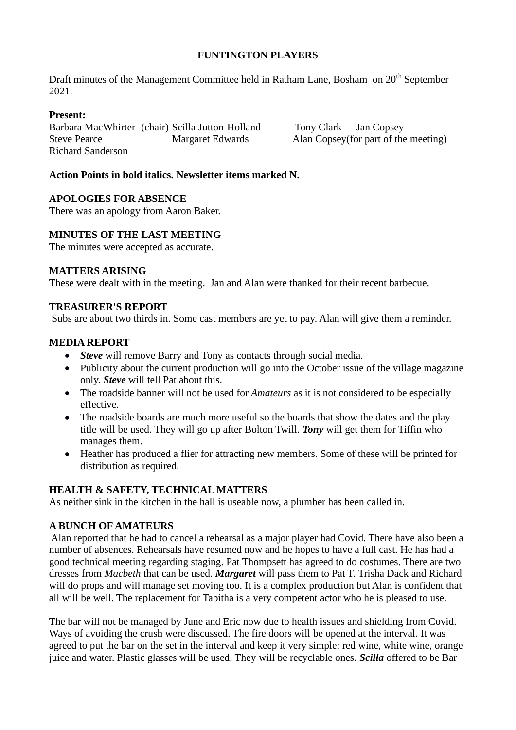# **FUNTINGTON PLAYERS**

Draft minutes of the Management Committee held in Ratham Lane, Bosham on 20<sup>th</sup> September 2021.

## **Present:**

Barbara MacWhirter (chair) Scilla Jutton-Holland Tony Clark Jan Copsey Steve Pearce Margaret Edwards Alan Copsey(for part of the meeting) Richard Sanderson

## **Action Points in bold italics. Newsletter items marked N.**

## **APOLOGIES FOR ABSENCE**

There was an apology from Aaron Baker.

## **MINUTES OF THE LAST MEETING**

The minutes were accepted as accurate.

## **MATTERS ARISING**

These were dealt with in the meeting. Jan and Alan were thanked for their recent barbecue.

## **TREASURER'S REPORT**

Subs are about two thirds in. Some cast members are yet to pay. Alan will give them a reminder.

## **MEDIA REPORT**

- *Steve* will remove Barry and Tony as contacts through social media.
- Publicity about the current production will go into the October issue of the village magazine only. *Steve* will tell Pat about this.
- The roadside banner will not be used for *Amateurs* as it is not considered to be especially effective.
- The roadside boards are much more useful so the boards that show the dates and the play title will be used. They will go up after Bolton Twill. *Tony* will get them for Tiffin who manages them.
- Heather has produced a flier for attracting new members. Some of these will be printed for distribution as required.

## **HEALTH & SAFETY, TECHNICAL MATTERS**

As neither sink in the kitchen in the hall is useable now, a plumber has been called in.

# **A BUNCH OF AMATEURS**

Alan reported that he had to cancel a rehearsal as a major player had Covid. There have also been a number of absences. Rehearsals have resumed now and he hopes to have a full cast. He has had a good technical meeting regarding staging. Pat Thompsett has agreed to do costumes. There are two dresses from *Macbeth* that can be used. *Margaret* will pass them to Pat T. Trisha Dack and Richard will do props and will manage set moving too. It is a complex production but Alan is confident that all will be well. The replacement for Tabitha is a very competent actor who he is pleased to use.

The bar will not be managed by June and Eric now due to health issues and shielding from Covid. Ways of avoiding the crush were discussed. The fire doors will be opened at the interval. It was agreed to put the bar on the set in the interval and keep it very simple: red wine, white wine, orange juice and water. Plastic glasses will be used. They will be recyclable ones. *Scilla* offered to be Bar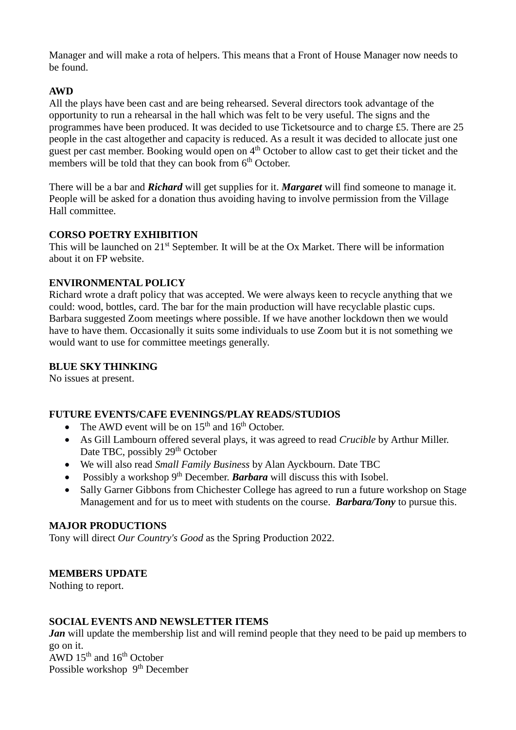Manager and will make a rota of helpers. This means that a Front of House Manager now needs to be found.

# **AWD**

All the plays have been cast and are being rehearsed. Several directors took advantage of the opportunity to run a rehearsal in the hall which was felt to be very useful. The signs and the programmes have been produced. It was decided to use Ticketsource and to charge £5. There are 25 people in the cast altogether and capacity is reduced. As a result it was decided to allocate just one guest per cast member. Booking would open on 4<sup>th</sup> October to allow cast to get their ticket and the members will be told that they can book from 6<sup>th</sup> October.

There will be a bar and *Richard* will get supplies for it. *Margaret* will find someone to manage it. People will be asked for a donation thus avoiding having to involve permission from the Village Hall committee.

# **CORSO POETRY EXHIBITION**

This will be launched on 21<sup>st</sup> September. It will be at the Ox Market. There will be information about it on FP website.

# **ENVIRONMENTAL POLICY**

Richard wrote a draft policy that was accepted. We were always keen to recycle anything that we could: wood, bottles, card. The bar for the main production will have recyclable plastic cups. Barbara suggested Zoom meetings where possible. If we have another lockdown then we would have to have them. Occasionally it suits some individuals to use Zoom but it is not something we would want to use for committee meetings generally.

# **BLUE SKY THINKING**

No issues at present.

# **FUTURE EVENTS/CAFE EVENINGS/PLAY READS/STUDIOS**

- The AWD event will be on  $15<sup>th</sup>$  and  $16<sup>th</sup>$  October.
- As Gill Lambourn offered several plays, it was agreed to read *Crucible* by Arthur Miller. Date TBC, possibly 29<sup>th</sup> October
- We will also read *Small Family Business* by Alan Ayckbourn. Date TBC
- Possibly a workshop 9<sup>th</sup> December. **Barbara** will discuss this with Isobel.
- Sally Garner Gibbons from Chichester College has agreed to run a future workshop on Stage Management and for us to meet with students on the course. *Barbara/Tony* to pursue this.

# **MAJOR PRODUCTIONS**

Tony will direct *Our Country's Good* as the Spring Production 2022.

# **MEMBERS UPDATE**

Nothing to report.

# **SOCIAL EVENTS AND NEWSLETTER ITEMS**

*Jan* will update the membership list and will remind people that they need to be paid up members to go on it.  $AWD$  15<sup>th</sup> and 16<sup>th</sup> October

Possible workshop 9<sup>th</sup> December